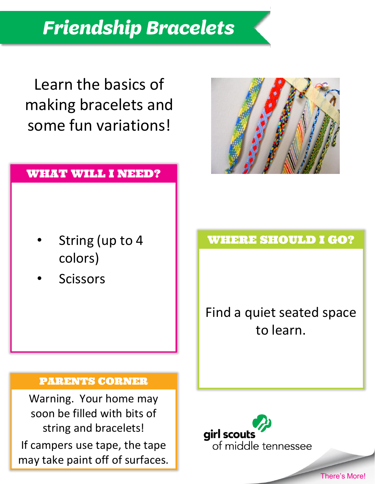Learn the basics of making bracelets and

#### WHAT WILL I NEED?

some fun variations!

- String (up to 4 colors)
- **Scissors**

Find a quiet seated space to learn.

#### PARENTS CORNER

Warning. Your home may soon be filled with bits of string and bracelets! If campers use tape, the tape may take paint off of surfaces. WHERE SHOULD I GO?





There's More!

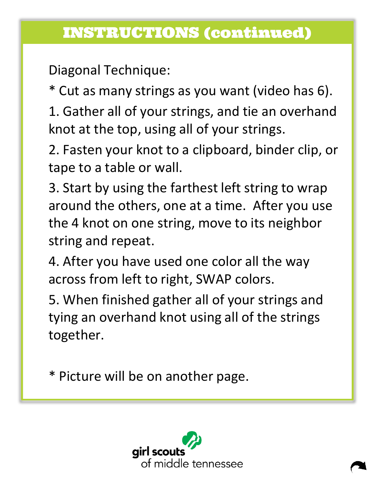## INSTRUCTIONS (continued)

Diagonal Technique:

\* Cut as many strings as you want (video has 6).

1. Gather all of your strings, and tie an overhand knot at the top, using all of your strings.

2. Fasten your knot to a clipboard, binder clip, or tape to a table or wall.

3. Start by using the farthest left string to wrap around the others, one at a time. After you use the 4 knot on one string, move to its neighbor string and repeat.

4. After you have used one color all the way across from left to right, SWAP colors.

5. When finished gather all of your strings and tying an overhand knot using all of the strings together.

\* Picture will be on another page.

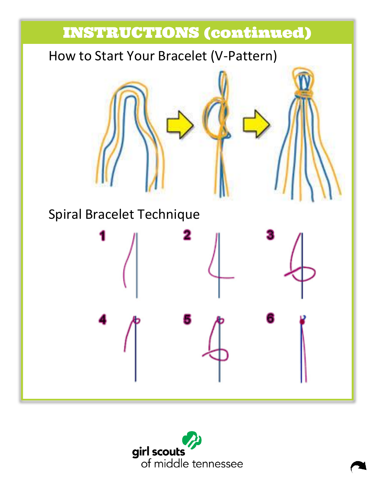